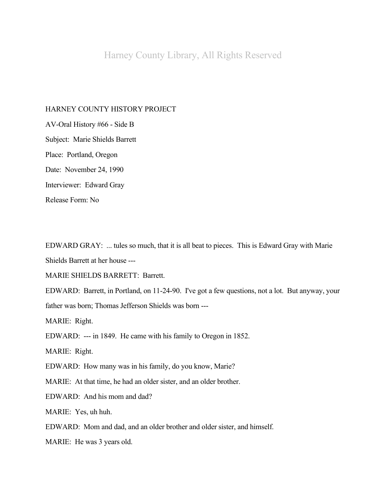## Harney County Library, All Rights Reserved

HARNEY COUNTY HISTORY PROJECT AV-Oral History #66 - Side B Subject: Marie Shields Barrett Place: Portland, Oregon Date: November 24, 1990 Interviewer: Edward Gray Release Form: No

EDWARD GRAY: ... tules so much, that it is all beat to pieces. This is Edward Gray with Marie Shields Barrett at her house ---

MARIE SHIELDS BARRETT: Barrett.

EDWARD: Barrett, in Portland, on 11-24-90. I've got a few questions, not a lot. But anyway, your father was born; Thomas Jefferson Shields was born ---

MARIE: Right.

EDWARD: --- in 1849. He came with his family to Oregon in 1852.

MARIE: Right.

EDWARD: How many was in his family, do you know, Marie?

MARIE: At that time, he had an older sister, and an older brother.

EDWARD: And his mom and dad?

MARIE: Yes, uh huh.

EDWARD: Mom and dad, and an older brother and older sister, and himself.

MARIE: He was 3 years old.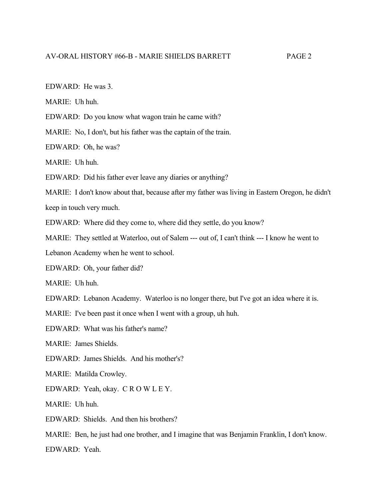EDWARD: He was 3.

MARIE: Uh huh.

EDWARD: Do you know what wagon train he came with?

MARIE: No, I don't, but his father was the captain of the train.

EDWARD: Oh, he was?

MARIE: Uh huh.

EDWARD: Did his father ever leave any diaries or anything?

MARIE: I don't know about that, because after my father was living in Eastern Oregon, he didn't keep in touch very much.

EDWARD: Where did they come to, where did they settle, do you know?

MARIE: They settled at Waterloo, out of Salem --- out of, I can't think --- I know he went to

Lebanon Academy when he went to school.

EDWARD: Oh, your father did?

MARIE: Uh huh.

EDWARD: Lebanon Academy. Waterloo is no longer there, but I've got an idea where it is.

MARIE: I've been past it once when I went with a group, uh huh.

EDWARD: What was his father's name?

MARIE: James Shields.

EDWARD: James Shields. And his mother's?

MARIE: Matilda Crowley.

EDWARD: Yeah, okay. C R O W L E Y.

MARIE: Uh huh.

EDWARD: Shields. And then his brothers?

MARIE: Ben, he just had one brother, and I imagine that was Benjamin Franklin, I don't know.

EDWARD: Yeah.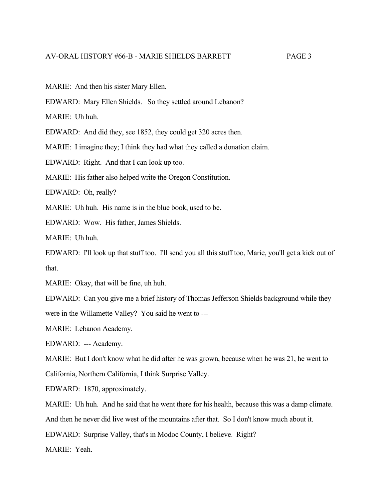MARIE: And then his sister Mary Ellen.

EDWARD: Mary Ellen Shields. So they settled around Lebanon?

MARIE: Uh huh.

EDWARD: And did they, see 1852, they could get 320 acres then.

MARIE: I imagine they; I think they had what they called a donation claim.

EDWARD: Right. And that I can look up too.

MARIE: His father also helped write the Oregon Constitution.

EDWARD: Oh, really?

MARIE: Uh huh. His name is in the blue book, used to be.

EDWARD: Wow. His father, James Shields.

MARIE: Uh huh.

EDWARD: I'll look up that stuff too. I'll send you all this stuff too, Marie, you'll get a kick out of that.

MARIE: Okay, that will be fine, uh huh.

EDWARD: Can you give me a brief history of Thomas Jefferson Shields background while they were in the Willamette Valley? You said he went to ---

MARIE: Lebanon Academy.

EDWARD: --- Academy.

MARIE: But I don't know what he did after he was grown, because when he was 21, he went to California, Northern California, I think Surprise Valley.

EDWARD: 1870, approximately.

MARIE: Uh huh. And he said that he went there for his health, because this was a damp climate.

And then he never did live west of the mountains after that. So I don't know much about it.

EDWARD: Surprise Valley, that's in Modoc County, I believe. Right?

MARIE: Yeah.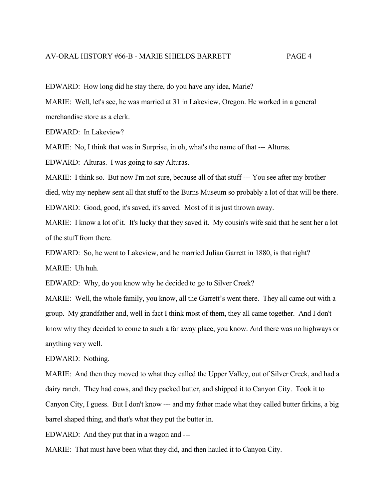EDWARD: How long did he stay there, do you have any idea, Marie?

MARIE: Well, let's see, he was married at 31 in Lakeview, Oregon. He worked in a general merchandise store as a clerk.

EDWARD: In Lakeview?

MARIE: No, I think that was in Surprise, in oh, what's the name of that --- Alturas.

EDWARD: Alturas. I was going to say Alturas.

MARIE: I think so. But now I'm not sure, because all of that stuff --- You see after my brother died, why my nephew sent all that stuff to the Burns Museum so probably a lot of that will be there. EDWARD: Good, good, it's saved, it's saved. Most of it is just thrown away.

MARIE: I know a lot of it. It's lucky that they saved it. My cousin's wife said that he sent her a lot of the stuff from there.

EDWARD: So, he went to Lakeview, and he married Julian Garrett in 1880, is that right? MARIE: Uh huh.

EDWARD: Why, do you know why he decided to go to Silver Creek?

MARIE: Well, the whole family, you know, all the Garrett's went there. They all came out with a group. My grandfather and, well in fact I think most of them, they all came together. And I don't know why they decided to come to such a far away place, you know. And there was no highways or anything very well.

EDWARD: Nothing.

MARIE: And then they moved to what they called the Upper Valley, out of Silver Creek, and had a dairy ranch. They had cows, and they packed butter, and shipped it to Canyon City. Took it to Canyon City, I guess. But I don't know --- and my father made what they called butter firkins, a big barrel shaped thing, and that's what they put the butter in.

EDWARD: And they put that in a wagon and ---

MARIE: That must have been what they did, and then hauled it to Canyon City.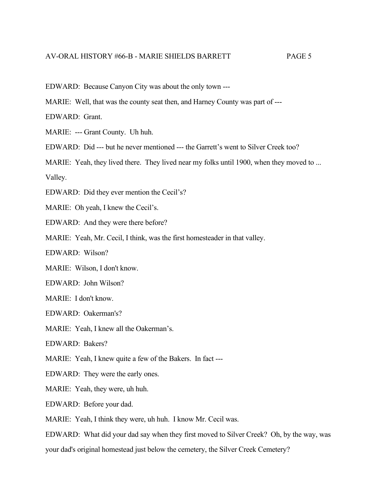EDWARD: Because Canyon City was about the only town ---

MARIE: Well, that was the county seat then, and Harney County was part of ---

EDWARD: Grant.

MARIE: --- Grant County. Uh huh.

EDWARD: Did --- but he never mentioned --- the Garrett's went to Silver Creek too?

MARIE: Yeah, they lived there. They lived near my folks until 1900, when they moved to ...

Valley.

EDWARD: Did they ever mention the Cecil's?

MARIE: Oh yeah, I knew the Cecil's.

EDWARD: And they were there before?

MARIE: Yeah, Mr. Cecil, I think, was the first homesteader in that valley.

EDWARD: Wilson?

MARIE: Wilson, I don't know.

EDWARD: John Wilson?

MARIE: I don't know.

EDWARD: Oakerman's?

MARIE: Yeah, I knew all the Oakerman's.

EDWARD: Bakers?

MARIE: Yeah, I knew quite a few of the Bakers. In fact ---

EDWARD: They were the early ones.

MARIE: Yeah, they were, uh huh.

EDWARD: Before your dad.

MARIE: Yeah, I think they were, uh huh. I know Mr. Cecil was.

EDWARD: What did your dad say when they first moved to Silver Creek? Oh, by the way, was

your dad's original homestead just below the cemetery, the Silver Creek Cemetery?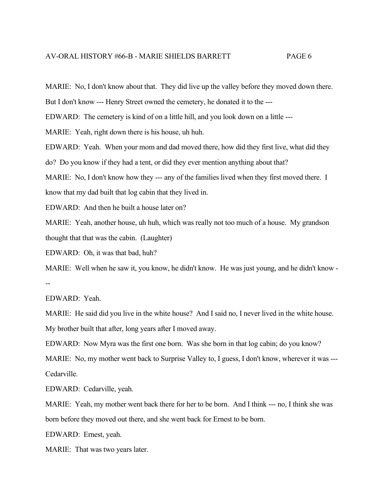MARIE: No, I don't know about that. They did live up the valley before they moved down there.

But I don't know --- Henry Street owned the cemetery, he donated it to the ---

EDWARD: The cemetery is kind of on a little hill, and you look down on a little ---

MARIE: Yeah, right down there is his house, uh huh.

EDWARD: Yeah. When your mom and dad moved there, how did they first live, what did they

do? Do you know if they had a tent, or did they ever mention anything about that?

MARIE: No, I don't know how they --- any of the families lived when they first moved there. I know that my dad built that log cabin that they lived in.

EDWARD: And then he built a house later on?

MARIE: Yeah, another house, uh huh, which was really not too much of a house. My grandson thought that that was the cabin. (Laughter)

EDWARD: Oh, it was that bad, huh?

MARIE: Well when he saw it, you know, he didn't know. He was just young, and he didn't know - --

EDWARD: Yeah.

MARIE: He said did you live in the white house? And I said no, I never lived in the white house. My brother built that after, long years after I moved away.

EDWARD: Now Myra was the first one born. Was she born in that log cabin; do you know?

MARIE: No, my mother went back to Surprise Valley to, I guess, I don't know, wherever it was ---Cedarville.

EDWARD: Cedarville, yeah.

MARIE: Yeah, my mother went back there for her to be born. And I think --- no, I think she was born before they moved out there, and she went back for Ernest to be born.

EDWARD: Ernest, yeah.

MARIE: That was two years later.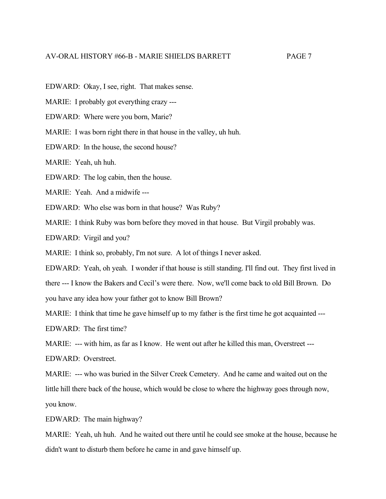EDWARD: Okay, I see, right. That makes sense.

MARIE: I probably got everything crazy ---

EDWARD: Where were you born, Marie?

MARIE: I was born right there in that house in the valley, uh huh.

EDWARD: In the house, the second house?

MARIE: Yeah, uh huh.

EDWARD: The log cabin, then the house.

MARIE: Yeah. And a midwife ---

EDWARD: Who else was born in that house? Was Ruby?

MARIE: I think Ruby was born before they moved in that house. But Virgil probably was.

EDWARD: Virgil and you?

MARIE: I think so, probably, I'm not sure. A lot of things I never asked.

EDWARD: Yeah, oh yeah. I wonder if that house is still standing. I'll find out. They first lived in there --- I know the Bakers and Cecil's were there. Now, we'll come back to old Bill Brown. Do you have any idea how your father got to know Bill Brown?

MARIE: I think that time he gave himself up to my father is the first time he got acquainted ---

EDWARD: The first time?

MARIE: --- with him, as far as I know. He went out after he killed this man, Overstreet ---

EDWARD: Overstreet.

MARIE: --- who was buried in the Silver Creek Cemetery. And he came and waited out on the little hill there back of the house, which would be close to where the highway goes through now, you know.

EDWARD: The main highway?

MARIE: Yeah, uh huh. And he waited out there until he could see smoke at the house, because he didn't want to disturb them before he came in and gave himself up.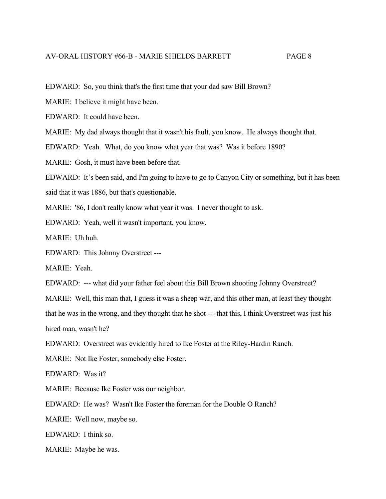EDWARD: So, you think that's the first time that your dad saw Bill Brown?

MARIE: I believe it might have been.

EDWARD: It could have been.

MARIE: My dad always thought that it wasn't his fault, you know. He always thought that.

EDWARD: Yeah. What, do you know what year that was? Was it before 1890?

MARIE: Gosh, it must have been before that.

EDWARD: It's been said, and I'm going to have to go to Canyon City or something, but it has been said that it was 1886, but that's questionable.

MARIE: '86, I don't really know what year it was. I never thought to ask.

EDWARD: Yeah, well it wasn't important, you know.

MARIE: Uh huh.

EDWARD: This Johnny Overstreet ---

MARIE: Yeah.

EDWARD: --- what did your father feel about this Bill Brown shooting Johnny Overstreet?

MARIE: Well, this man that, I guess it was a sheep war, and this other man, at least they thought

that he was in the wrong, and they thought that he shot --- that this, I think Overstreet was just his

hired man, wasn't he?

EDWARD: Overstreet was evidently hired to Ike Foster at the Riley-Hardin Ranch.

MARIE: Not Ike Foster, somebody else Foster.

EDWARD: Was it?

MARIE: Because Ike Foster was our neighbor.

EDWARD: He was? Wasn't Ike Foster the foreman for the Double O Ranch?

MARIE: Well now, maybe so.

EDWARD: I think so.

MARIE: Maybe he was.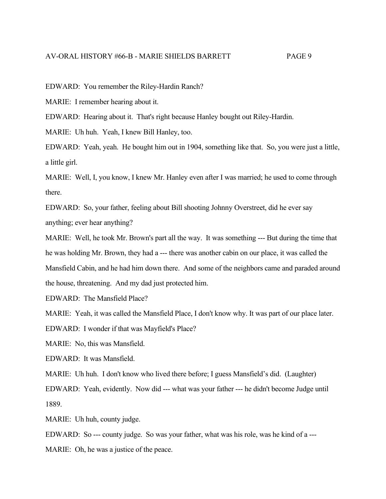EDWARD: You remember the Riley-Hardin Ranch?

MARIE: I remember hearing about it.

EDWARD: Hearing about it. That's right because Hanley bought out Riley-Hardin.

MARIE: Uh huh. Yeah, I knew Bill Hanley, too.

EDWARD: Yeah, yeah. He bought him out in 1904, something like that. So, you were just a little, a little girl.

MARIE: Well, I, you know, I knew Mr. Hanley even after I was married; he used to come through there.

EDWARD: So, your father, feeling about Bill shooting Johnny Overstreet, did he ever say anything; ever hear anything?

MARIE: Well, he took Mr. Brown's part all the way. It was something --- But during the time that he was holding Mr. Brown, they had a --- there was another cabin on our place, it was called the Mansfield Cabin, and he had him down there. And some of the neighbors came and paraded around the house, threatening. And my dad just protected him.

EDWARD: The Mansfield Place?

MARIE: Yeah, it was called the Mansfield Place, I don't know why. It was part of our place later.

EDWARD: I wonder if that was Mayfield's Place?

MARIE: No, this was Mansfield.

EDWARD: It was Mansfield.

MARIE: Uh huh. I don't know who lived there before; I guess Mansfield's did. (Laughter)

EDWARD: Yeah, evidently. Now did --- what was your father --- he didn't become Judge until 1889.

MARIE: Uh huh, county judge.

EDWARD: So --- county judge. So was your father, what was his role, was he kind of a ---

MARIE: Oh, he was a justice of the peace.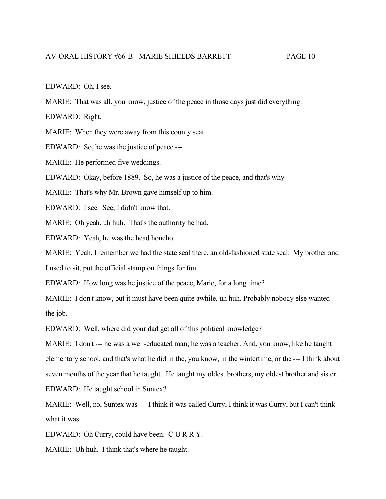EDWARD: Oh, I see.

MARIE: That was all, you know, justice of the peace in those days just did everything.

EDWARD: Right.

MARIE: When they were away from this county seat.

EDWARD: So, he was the justice of peace ---

MARIE: He performed five weddings.

EDWARD: Okay, before 1889. So, he was a justice of the peace, and that's why ---

MARIE: That's why Mr. Brown gave himself up to him.

EDWARD: I see. See, I didn't know that.

MARIE: Oh yeah, uh huh. That's the authority he had.

EDWARD: Yeah, he was the head honcho.

MARIE: Yeah, I remember we had the state seal there, an old-fashioned state seal. My brother and I used to sit, put the official stamp on things for fun.

EDWARD: How long was he justice of the peace, Marie, for a long time?

MARIE: I don't know, but it must have been quite awhile, uh huh. Probably nobody else wanted the job.

EDWARD: Well, where did your dad get all of this political knowledge?

MARIE: I don't --- he was a well-educated man; he was a teacher. And, you know, like he taught elementary school, and that's what he did in the, you know, in the wintertime, or the --- I think about seven months of the year that he taught. He taught my oldest brothers, my oldest brother and sister. EDWARD: He taught school in Suntex?

MARIE: Well, no, Suntex was --- I think it was called Curry, I think it was Curry, but I can't think what it was.

EDWARD: Oh Curry, could have been. C U R R Y.

MARIE: Uh huh. I think that's where he taught.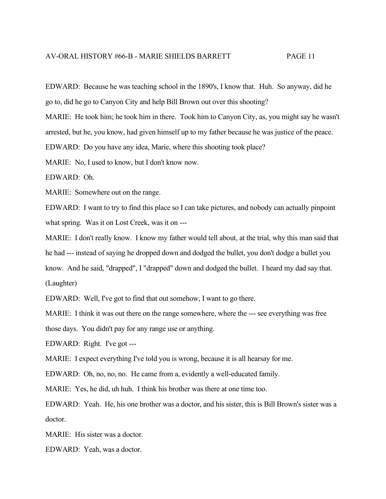EDWARD: Because he was teaching school in the 1890's, I know that. Huh. So anyway, did he go to, did he go to Canyon City and help Bill Brown out over this shooting?

MARIE: He took him; he took him in there. Took him to Canyon City, as, you might say he wasn't arrested, but he, you know, had given himself up to my father because he was justice of the peace.

EDWARD: Do you have any idea, Marie, where this shooting took place?

MARIE: No, I used to know, but I don't know now.

EDWARD: Oh.

MARIE: Somewhere out on the range.

EDWARD: I want to try to find this place so I can take pictures, and nobody can actually pinpoint what spring. Was it on Lost Creek, was it on ---

MARIE: I don't really know. I know my father would tell about, at the trial, why this man said that he had --- instead of saying he dropped down and dodged the bullet, you don't dodge a bullet you know. And he said, "drapped", I "drapped" down and dodged the bullet. I heard my dad say that. (Laughter)

EDWARD: Well, I've got to find that out somehow, I want to go there.

MARIE: I think it was out there on the range somewhere, where the --- see everything was free those days. You didn't pay for any range use or anything.

EDWARD: Right. I've got ---

MARIE: I expect everything I've told you is wrong, because it is all hearsay for me.

EDWARD: Oh, no, no, no. He came from a, evidently a well-educated family.

MARIE: Yes, he did, uh huh. I think his brother was there at one time too.

EDWARD: Yeah. He, his one brother was a doctor, and his sister, this is Bill Brown's sister was a doctor.

MARIE: His sister was a doctor.

EDWARD: Yeah, was a doctor.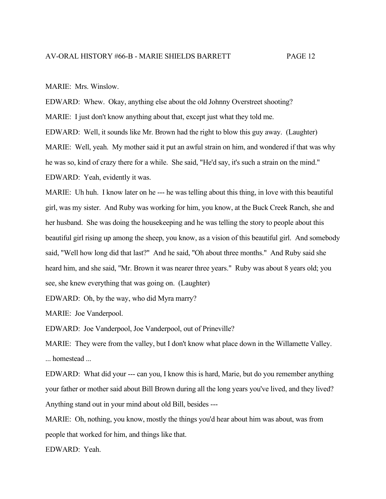MARIE: Mrs. Winslow.

EDWARD: Whew. Okay, anything else about the old Johnny Overstreet shooting? MARIE: I just don't know anything about that, except just what they told me. EDWARD: Well, it sounds like Mr. Brown had the right to blow this guy away. (Laughter) MARIE: Well, yeah. My mother said it put an awful strain on him, and wondered if that was why he was so, kind of crazy there for a while. She said, "He'd say, it's such a strain on the mind." EDWARD: Yeah, evidently it was.

MARIE: Uh huh. I know later on he --- he was telling about this thing, in love with this beautiful girl, was my sister. And Ruby was working for him, you know, at the Buck Creek Ranch, she and her husband. She was doing the housekeeping and he was telling the story to people about this beautiful girl rising up among the sheep, you know, as a vision of this beautiful girl. And somebody said, "Well how long did that last?" And he said, "Oh about three months." And Ruby said she heard him, and she said, "Mr. Brown it was nearer three years." Ruby was about 8 years old; you see, she knew everything that was going on. (Laughter)

EDWARD: Oh, by the way, who did Myra marry?

MARIE: Joe Vanderpool.

EDWARD: Joe Vanderpool, Joe Vanderpool, out of Prineville?

MARIE: They were from the valley, but I don't know what place down in the Willamette Valley. ... homestead ...

EDWARD: What did your --- can you, I know this is hard, Marie, but do you remember anything your father or mother said about Bill Brown during all the long years you've lived, and they lived? Anything stand out in your mind about old Bill, besides ---

MARIE: Oh, nothing, you know, mostly the things you'd hear about him was about, was from people that worked for him, and things like that.

EDWARD: Yeah.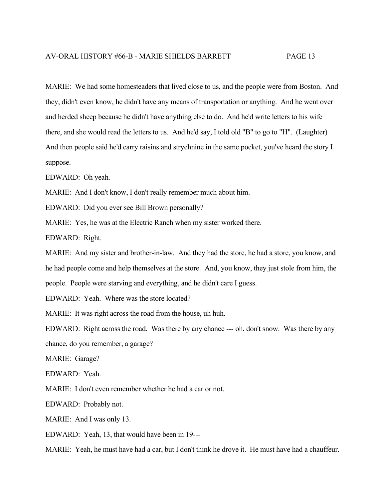MARIE: We had some homesteaders that lived close to us, and the people were from Boston. And they, didn't even know, he didn't have any means of transportation or anything. And he went over and herded sheep because he didn't have anything else to do. And he'd write letters to his wife there, and she would read the letters to us. And he'd say, I told old "B" to go to "H". (Laughter) And then people said he'd carry raisins and strychnine in the same pocket, you've heard the story I suppose.

EDWARD: Oh yeah.

MARIE: And I don't know, I don't really remember much about him.

EDWARD: Did you ever see Bill Brown personally?

MARIE: Yes, he was at the Electric Ranch when my sister worked there.

EDWARD: Right.

MARIE: And my sister and brother-in-law. And they had the store, he had a store, you know, and he had people come and help themselves at the store. And, you know, they just stole from him, the people. People were starving and everything, and he didn't care I guess.

EDWARD: Yeah. Where was the store located?

MARIE: It was right across the road from the house, uh huh.

EDWARD: Right across the road. Was there by any chance --- oh, don't snow. Was there by any chance, do you remember, a garage?

MARIE: Garage?

EDWARD: Yeah.

MARIE: I don't even remember whether he had a car or not.

EDWARD: Probably not.

MARIE: And I was only 13.

EDWARD: Yeah, 13, that would have been in 19---

MARIE: Yeah, he must have had a car, but I don't think he drove it. He must have had a chauffeur.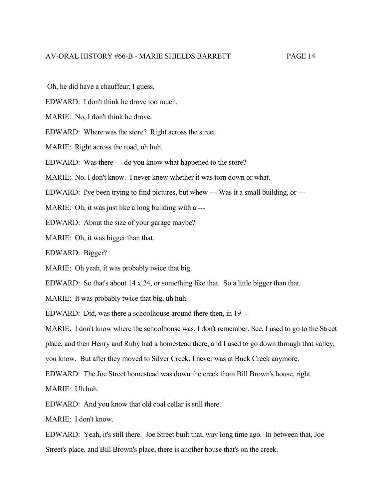Oh, he did have a chauffeur, I guess.

EDWARD: I don't think he drove too much.

MARIE: No, I don't think he drove.

EDWARD: Where was the store? Right across the street.

MARIE: Right across the road, uh huh.

EDWARD: Was there --- do you know what happened to the store?

MARIE: No, I don't know. I never knew whether it was torn down or what.

EDWARD: I've been trying to find pictures, but whew --- Was it a small building, or ---

MARIE: Oh, it was just like a long building with a ---

EDWARD: About the size of your garage maybe?

MARIE: Oh, it was bigger than that.

EDWARD: Bigger?

MARIE: Oh yeah, it was probably twice that big.

EDWARD: So that's about 14 x 24, or something like that. So a little bigger than that.

MARIE: It was probably twice that big, uh huh.

EDWARD: Did, was there a schoolhouse around there then, in 19---

MARIE: I don't know where the schoolhouse was, I don't remember. See, I used to go to the Street

place, and then Henry and Ruby had a homestead there, and I used to go down through that valley,

you know. But after they moved to Silver Creek, I never was at Buck Creek anymore.

EDWARD: The Joe Street homestead was down the creek from Bill Brown's house, right.

MARIE: Uh huh.

EDWARD: And you know that old coal cellar is still there.

MARIE: I don't know.

EDWARD: Yeah, it's still there. Joe Street built that, way long time ago. In between that, Joe Street's place, and Bill Brown's place, there is another house that's on the creek.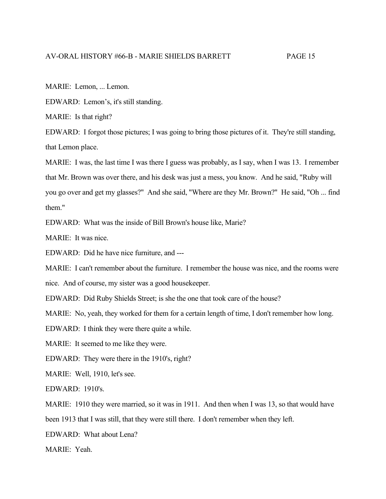MARIE: Lemon, ... Lemon.

EDWARD: Lemon's, it's still standing.

MARIE: Is that right?

EDWARD: I forgot those pictures; I was going to bring those pictures of it. They're still standing, that Lemon place.

MARIE: I was, the last time I was there I guess was probably, as I say, when I was 13. I remember that Mr. Brown was over there, and his desk was just a mess, you know. And he said, "Ruby will you go over and get my glasses?" And she said, "Where are they Mr. Brown?" He said, "Oh ... find them."

EDWARD: What was the inside of Bill Brown's house like, Marie?

MARIE: It was nice.

EDWARD: Did he have nice furniture, and ---

MARIE: I can't remember about the furniture. I remember the house was nice, and the rooms were

nice. And of course, my sister was a good housekeeper.

EDWARD: Did Ruby Shields Street; is she the one that took care of the house?

MARIE: No, yeah, they worked for them for a certain length of time, I don't remember how long.

EDWARD: I think they were there quite a while.

MARIE: It seemed to me like they were.

EDWARD: They were there in the 1910's, right?

MARIE: Well, 1910, let's see.

EDWARD: 1910's.

MARIE: 1910 they were married, so it was in 1911. And then when I was 13, so that would have

been 1913 that I was still, that they were still there. I don't remember when they left.

EDWARD: What about Lena?

MARIE: Yeah.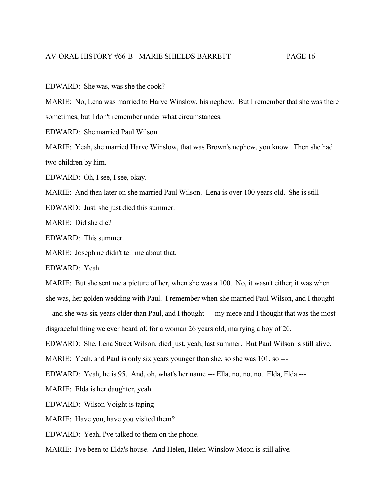EDWARD: She was, was she the cook?

MARIE: No, Lena was married to Harve Winslow, his nephew. But I remember that she was there sometimes, but I don't remember under what circumstances.

EDWARD: She married Paul Wilson.

MARIE: Yeah, she married Harve Winslow, that was Brown's nephew, you know. Then she had two children by him.

EDWARD: Oh, I see, I see, okay.

MARIE: And then later on she married Paul Wilson. Lena is over 100 years old. She is still ---

EDWARD: Just, she just died this summer.

MARIE: Did she die?

EDWARD: This summer.

MARIE: Josephine didn't tell me about that.

EDWARD: Yeah.

MARIE: But she sent me a picture of her, when she was a 100. No, it wasn't either; it was when

she was, her golden wedding with Paul. I remember when she married Paul Wilson, and I thought -

-- and she was six years older than Paul, and I thought --- my niece and I thought that was the most

disgraceful thing we ever heard of, for a woman 26 years old, marrying a boy of 20.

EDWARD: She, Lena Street Wilson, died just, yeah, last summer. But Paul Wilson is still alive.

MARIE: Yeah, and Paul is only six years younger than she, so she was 101, so ---

EDWARD: Yeah, he is 95. And, oh, what's her name --- Ella, no, no, no. Elda, Elda ---

MARIE: Elda is her daughter, yeah.

EDWARD: Wilson Voight is taping ---

MARIE: Have you, have you visited them?

EDWARD: Yeah, I've talked to them on the phone.

MARIE: I've been to Elda's house. And Helen, Helen Winslow Moon is still alive.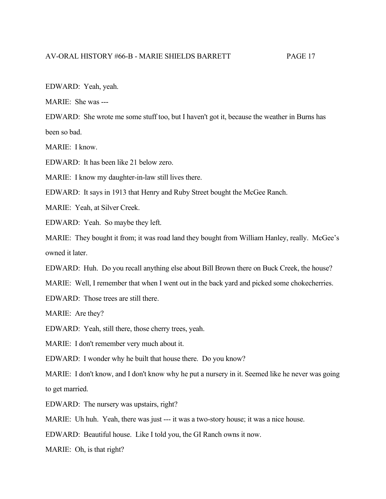EDWARD: Yeah, yeah.

MARIE: She was ---

EDWARD: She wrote me some stuff too, but I haven't got it, because the weather in Burns has been so bad.

MARIE: I know.

EDWARD: It has been like 21 below zero.

MARIE: I know my daughter-in-law still lives there.

EDWARD: It says in 1913 that Henry and Ruby Street bought the McGee Ranch.

MARIE: Yeah, at Silver Creek.

EDWARD: Yeah. So maybe they left.

MARIE: They bought it from; it was road land they bought from William Hanley, really. McGee's owned it later.

EDWARD: Huh. Do you recall anything else about Bill Brown there on Buck Creek, the house?

MARIE: Well, I remember that when I went out in the back yard and picked some chokecherries.

EDWARD: Those trees are still there.

MARIE: Are they?

EDWARD: Yeah, still there, those cherry trees, yeah.

MARIE: I don't remember very much about it.

EDWARD: I wonder why he built that house there. Do you know?

MARIE: I don't know, and I don't know why he put a nursery in it. Seemed like he never was going to get married.

EDWARD: The nursery was upstairs, right?

MARIE: Uh huh. Yeah, there was just --- it was a two-story house; it was a nice house.

EDWARD: Beautiful house. Like I told you, the GI Ranch owns it now.

MARIE: Oh, is that right?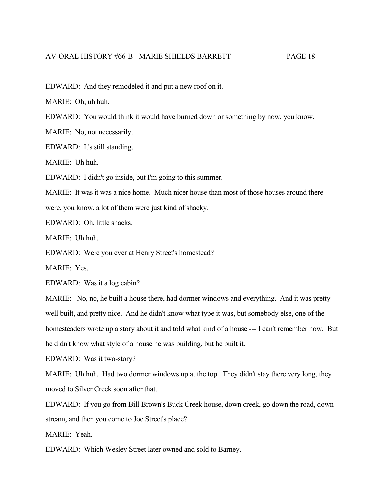EDWARD: And they remodeled it and put a new roof on it.

MARIE: Oh, uh huh.

EDWARD: You would think it would have burned down or something by now, you know.

MARIE: No, not necessarily.

EDWARD: It's still standing.

MARIE: Uh huh.

EDWARD: I didn't go inside, but I'm going to this summer.

MARIE: It was it was a nice home. Much nicer house than most of those houses around there were, you know, a lot of them were just kind of shacky.

EDWARD: Oh, little shacks.

MARIE: Uh huh.

EDWARD: Were you ever at Henry Street's homestead?

MARIE: Yes.

EDWARD: Was it a log cabin?

MARIE: No, no, he built a house there, had dormer windows and everything. And it was pretty well built, and pretty nice. And he didn't know what type it was, but somebody else, one of the homesteaders wrote up a story about it and told what kind of a house --- I can't remember now. But he didn't know what style of a house he was building, but he built it.

EDWARD: Was it two-story?

MARIE: Uh huh. Had two dormer windows up at the top. They didn't stay there very long, they moved to Silver Creek soon after that.

EDWARD: If you go from Bill Brown's Buck Creek house, down creek, go down the road, down stream, and then you come to Joe Street's place?

MARIE: Yeah.

EDWARD: Which Wesley Street later owned and sold to Barney.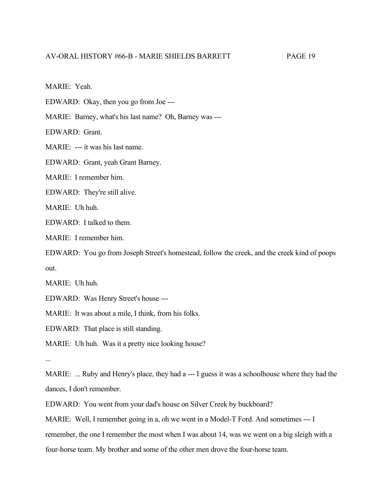MARIE: Yeah.

EDWARD: Okay, then you go from Joe ---

MARIE: Barney, what's his last name? Oh, Barney was ---

EDWARD: Grant.

 $\text{MARIE:}$  --- it was his last name.

EDWARD: Grant, yeah Grant Barney.

MARIE: I remember him.

EDWARD: They're still alive.

MARIE: Uh huh.

EDWARD: I talked to them.

MARIE: I remember him.

EDWARD: You go from Joseph Street's homestead, follow the creek, and the creek kind of poops out.

MARIE: Uh huh.

EDWARD: Was Henry Street's house ---

MARIE: It was about a mile, I think, from his folks.

EDWARD: That place is still standing.

MARIE: Uh huh. Was it a pretty nice looking house?

...

MARIE: ... Ruby and Henry's place, they had a --- I guess it was a schoolhouse where they had the dances, I don't remember.

EDWARD: You went from your dad's house on Silver Creek by buckboard?

MARIE: Well, I remember going in a, oh we went in a Model-T Ford. And sometimes --- I remember, the one I remember the most when I was about 14, was we went on a big sleigh with a

four-horse team. My brother and some of the other men drove the four-horse team.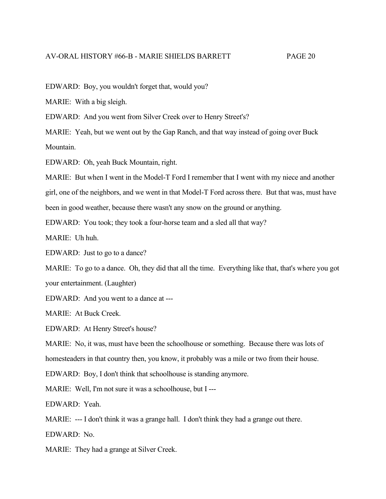EDWARD: Boy, you wouldn't forget that, would you?

MARIE: With a big sleigh.

EDWARD: And you went from Silver Creek over to Henry Street's?

MARIE: Yeah, but we went out by the Gap Ranch, and that way instead of going over Buck Mountain.

EDWARD: Oh, yeah Buck Mountain, right.

MARIE: But when I went in the Model-T Ford I remember that I went with my niece and another

girl, one of the neighbors, and we went in that Model-T Ford across there. But that was, must have

been in good weather, because there wasn't any snow on the ground or anything.

EDWARD: You took; they took a four-horse team and a sled all that way?

MARIE: Uh huh.

EDWARD: Just to go to a dance?

MARIE: To go to a dance. Oh, they did that all the time. Everything like that, that's where you got

your entertainment. (Laughter)

EDWARD: And you went to a dance at ---

MARIE: At Buck Creek.

EDWARD: At Henry Street's house?

MARIE: No, it was, must have been the schoolhouse or something. Because there was lots of homesteaders in that country then, you know, it probably was a mile or two from their house.

EDWARD: Boy, I don't think that schoolhouse is standing anymore.

MARIE: Well, I'm not sure it was a schoolhouse, but I ---

EDWARD: Yeah.

MARIE: --- I don't think it was a grange hall. I don't think they had a grange out there.

EDWARD: No.

MARIE: They had a grange at Silver Creek.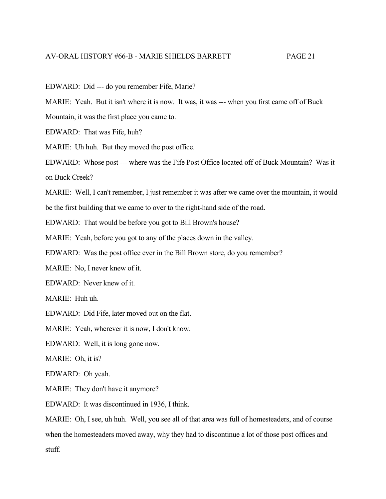## AV-ORAL HISTORY #66-B - MARIE SHIELDS BARRETT PAGE 21

EDWARD: Did --- do you remember Fife, Marie?

MARIE: Yeah. But it isn't where it is now. It was, it was --- when you first came off of Buck

Mountain, it was the first place you came to.

EDWARD: That was Fife, huh?

MARIE: Uh huh. But they moved the post office.

EDWARD: Whose post --- where was the Fife Post Office located off of Buck Mountain? Was it on Buck Creek?

MARIE: Well, I can't remember, I just remember it was after we came over the mountain, it would

be the first building that we came to over to the right-hand side of the road.

EDWARD: That would be before you got to Bill Brown's house?

MARIE: Yeah, before you got to any of the places down in the valley.

EDWARD: Was the post office ever in the Bill Brown store, do you remember?

MARIE: No, I never knew of it.

EDWARD: Never knew of it.

MARIE: Huh uh.

EDWARD: Did Fife, later moved out on the flat.

MARIE: Yeah, wherever it is now, I don't know.

EDWARD: Well, it is long gone now.

MARIE: Oh, it is?

EDWARD: Oh yeah.

MARIE: They don't have it anymore?

EDWARD: It was discontinued in 1936, I think.

MARIE: Oh, I see, uh huh. Well, you see all of that area was full of homesteaders, and of course when the homesteaders moved away, why they had to discontinue a lot of those post offices and stuff.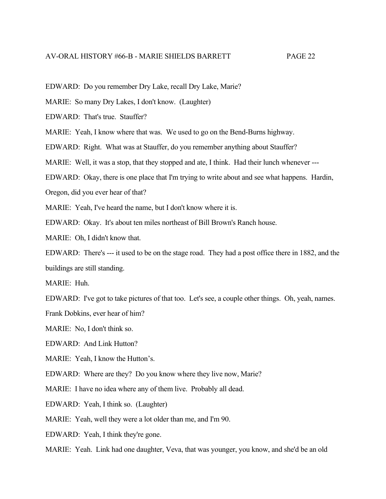EDWARD: Do you remember Dry Lake, recall Dry Lake, Marie?

MARIE: So many Dry Lakes, I don't know. (Laughter)

EDWARD: That's true. Stauffer?

MARIE: Yeah, I know where that was. We used to go on the Bend-Burns highway.

EDWARD: Right. What was at Stauffer, do you remember anything about Stauffer?

MARIE: Well, it was a stop, that they stopped and ate, I think. Had their lunch whenever ---

EDWARD: Okay, there is one place that I'm trying to write about and see what happens. Hardin,

Oregon, did you ever hear of that?

MARIE: Yeah, I've heard the name, but I don't know where it is.

EDWARD: Okay. It's about ten miles northeast of Bill Brown's Ranch house.

MARIE: Oh, I didn't know that.

EDWARD: There's --- it used to be on the stage road. They had a post office there in 1882, and the buildings are still standing.

MARIE: Huh.

EDWARD: I've got to take pictures of that too. Let's see, a couple other things. Oh, yeah, names.

Frank Dobkins, ever hear of him?

MARIE: No, I don't think so.

EDWARD: And Link Hutton?

MARIE: Yeah, I know the Hutton's.

EDWARD: Where are they? Do you know where they live now, Marie?

MARIE: I have no idea where any of them live. Probably all dead.

EDWARD: Yeah, I think so. (Laughter)

MARIE: Yeah, well they were a lot older than me, and I'm 90.

EDWARD: Yeah, I think they're gone.

MARIE: Yeah. Link had one daughter, Veva, that was younger, you know, and she'd be an old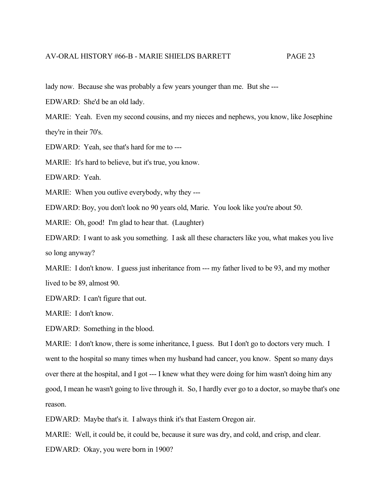lady now. Because she was probably a few years younger than me. But she ---

EDWARD: She'd be an old lady.

MARIE: Yeah. Even my second cousins, and my nieces and nephews, you know, like Josephine they're in their 70's.

EDWARD: Yeah, see that's hard for me to ---

MARIE: It's hard to believe, but it's true, you know.

EDWARD: Yeah.

MARIE: When you outlive everybody, why they ---

EDWARD: Boy, you don't look no 90 years old, Marie. You look like you're about 50.

MARIE: Oh, good! I'm glad to hear that. (Laughter)

EDWARD: I want to ask you something. I ask all these characters like you, what makes you live so long anyway?

MARIE: I don't know. I guess just inheritance from --- my father lived to be 93, and my mother lived to be 89, almost 90.

EDWARD: I can't figure that out.

MARIE: I don't know.

EDWARD: Something in the blood.

MARIE: I don't know, there is some inheritance, I guess. But I don't go to doctors very much. I went to the hospital so many times when my husband had cancer, you know. Spent so many days over there at the hospital, and I got --- I knew what they were doing for him wasn't doing him any good, I mean he wasn't going to live through it. So, I hardly ever go to a doctor, so maybe that's one reason.

EDWARD: Maybe that's it. I always think it's that Eastern Oregon air.

MARIE: Well, it could be, it could be, because it sure was dry, and cold, and crisp, and clear.

EDWARD: Okay, you were born in 1900?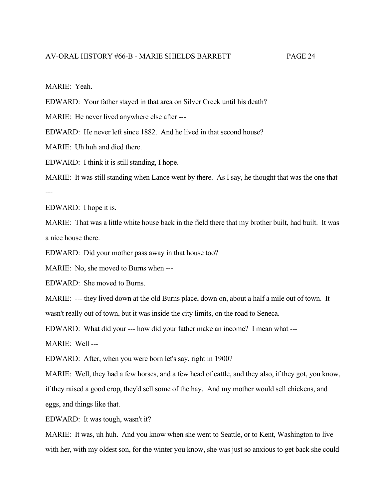#### AV-ORAL HISTORY #66-B - MARIE SHIELDS BARRETT PAGE 24

MARIE: Yeah.

EDWARD: Your father stayed in that area on Silver Creek until his death?

MARIE: He never lived anywhere else after ---

EDWARD: He never left since 1882. And he lived in that second house?

MARIE: Uh huh and died there.

EDWARD: I think it is still standing, I hope.

MARIE: It was still standing when Lance went by there. As I say, he thought that was the one that ---

EDWARD: I hope it is.

MARIE: That was a little white house back in the field there that my brother built, had built. It was a nice house there.

EDWARD: Did your mother pass away in that house too?

MARIE: No, she moved to Burns when ---

EDWARD: She moved to Burns.

MARIE: --- they lived down at the old Burns place, down on, about a half a mile out of town. It

wasn't really out of town, but it was inside the city limits, on the road to Seneca.

EDWARD: What did your --- how did your father make an income? I mean what ---

MARIE: Well ---

EDWARD: After, when you were born let's say, right in 1900?

MARIE: Well, they had a few horses, and a few head of cattle, and they also, if they got, you know,

if they raised a good crop, they'd sell some of the hay. And my mother would sell chickens, and

eggs, and things like that.

EDWARD: It was tough, wasn't it?

MARIE: It was, uh huh. And you know when she went to Seattle, or to Kent, Washington to live with her, with my oldest son, for the winter you know, she was just so anxious to get back she could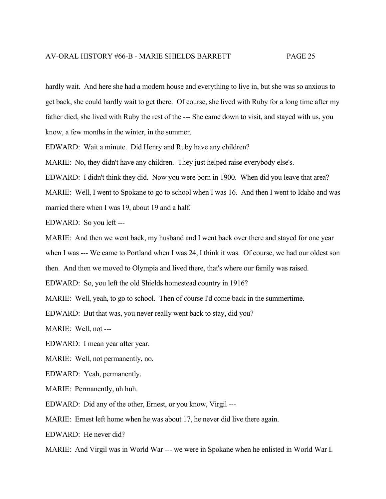hardly wait. And here she had a modern house and everything to live in, but she was so anxious to get back, she could hardly wait to get there. Of course, she lived with Ruby for a long time after my father died, she lived with Ruby the rest of the --- She came down to visit, and stayed with us, you know, a few months in the winter, in the summer.

EDWARD: Wait a minute. Did Henry and Ruby have any children?

MARIE: No, they didn't have any children. They just helped raise everybody else's.

EDWARD: I didn't think they did. Now you were born in 1900. When did you leave that area?

MARIE: Well, I went to Spokane to go to school when I was 16. And then I went to Idaho and was married there when I was 19, about 19 and a half.

EDWARD: So you left ---

MARIE: And then we went back, my husband and I went back over there and stayed for one year

when I was --- We came to Portland when I was 24, I think it was. Of course, we had our oldest son

then. And then we moved to Olympia and lived there, that's where our family was raised.

EDWARD: So, you left the old Shields homestead country in 1916?

MARIE: Well, yeah, to go to school. Then of course I'd come back in the summertime.

EDWARD: But that was, you never really went back to stay, did you?

MARIE: Well, not ---

EDWARD: I mean year after year.

MARIE: Well, not permanently, no.

EDWARD: Yeah, permanently.

MARIE: Permanently, uh huh.

EDWARD: Did any of the other, Ernest, or you know, Virgil ---

MARIE: Ernest left home when he was about 17, he never did live there again.

EDWARD: He never did?

MARIE: And Virgil was in World War --- we were in Spokane when he enlisted in World War I.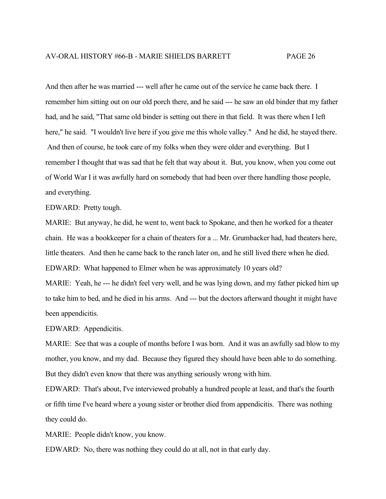And then after he was married --- well after he came out of the service he came back there. I remember him sitting out on our old porch there, and he said --- he saw an old binder that my father had, and he said, "That same old binder is setting out there in that field. It was there when I left here," he said. "I wouldn't live here if you give me this whole valley." And he did, he stayed there. And then of course, he took care of my folks when they were older and everything. But I remember I thought that was sad that he felt that way about it. But, you know, when you come out of World War I it was awfully hard on somebody that had been over there handling those people, and everything.

EDWARD: Pretty tough.

MARIE: But anyway, he did, he went to, went back to Spokane, and then he worked for a theater chain. He was a bookkeeper for a chain of theaters for a ... Mr. Grumbacker had, had theaters here, little theaters. And then he came back to the ranch later on, and he still lived there when he died. EDWARD: What happened to Elmer when he was approximately 10 years old?

MARIE: Yeah, he --- he didn't feel very well, and he was lying down, and my father picked him up to take him to bed, and he died in his arms. And --- but the doctors afterward thought it might have been appendicitis.

EDWARD: Appendicitis.

MARIE: See that was a couple of months before I was born. And it was an awfully sad blow to my mother, you know, and my dad. Because they figured they should have been able to do something. But they didn't even know that there was anything seriously wrong with him.

EDWARD: That's about, I've interviewed probably a hundred people at least, and that's the fourth or fifth time I've heard where a young sister or brother died from appendicitis. There was nothing they could do.

MARIE: People didn't know, you know.

EDWARD: No, there was nothing they could do at all, not in that early day.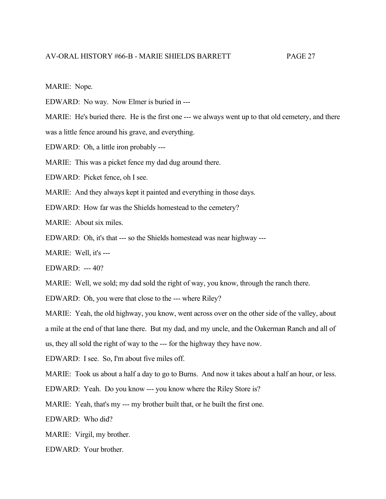## AV-ORAL HISTORY #66-B - MARIE SHIELDS BARRETT PAGE 27

MARIE: Nope.

EDWARD: No way. Now Elmer is buried in ---

MARIE: He's buried there. He is the first one --- we always went up to that old cemetery, and there

was a little fence around his grave, and everything.

EDWARD: Oh, a little iron probably ---

MARIE: This was a picket fence my dad dug around there.

EDWARD: Picket fence, oh I see.

MARIE: And they always kept it painted and everything in those days.

EDWARD: How far was the Shields homestead to the cemetery?

MARIE: About six miles.

EDWARD: Oh, it's that --- so the Shields homestead was near highway ---

MARIE: Well, it's ---

EDWARD: --- 40?

MARIE: Well, we sold; my dad sold the right of way, you know, through the ranch there.

EDWARD: Oh, you were that close to the --- where Riley?

MARIE: Yeah, the old highway, you know, went across over on the other side of the valley, about a mile at the end of that lane there. But my dad, and my uncle, and the Oakerman Ranch and all of us, they all sold the right of way to the --- for the highway they have now.

EDWARD: I see. So, I'm about five miles off.

MARIE: Took us about a half a day to go to Burns. And now it takes about a half an hour, or less.

EDWARD: Yeah. Do you know --- you know where the Riley Store is?

MARIE: Yeah, that's my --- my brother built that, or he built the first one.

EDWARD: Who did?

MARIE: Virgil, my brother.

EDWARD: Your brother.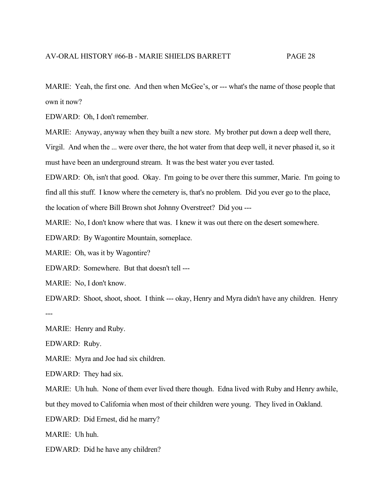MARIE: Yeah, the first one. And then when McGee's, or --- what's the name of those people that own it now?

EDWARD: Oh, I don't remember.

MARIE: Anyway, anyway when they built a new store. My brother put down a deep well there,

Virgil. And when the ... were over there, the hot water from that deep well, it never phased it, so it must have been an underground stream. It was the best water you ever tasted.

EDWARD: Oh, isn't that good. Okay. I'm going to be over there this summer, Marie. I'm going to find all this stuff. I know where the cemetery is, that's no problem. Did you ever go to the place,

the location of where Bill Brown shot Johnny Overstreet? Did you ---

MARIE: No, I don't know where that was. I knew it was out there on the desert somewhere.

EDWARD: By Wagontire Mountain, someplace.

MARIE: Oh, was it by Wagontire?

EDWARD: Somewhere. But that doesn't tell ---

MARIE: No, I don't know.

EDWARD: Shoot, shoot, shoot. I think --- okay, Henry and Myra didn't have any children. Henry ---

MARIE: Henry and Ruby.

EDWARD: Ruby.

MARIE: Myra and Joe had six children.

EDWARD: They had six.

MARIE: Uh huh. None of them ever lived there though. Edna lived with Ruby and Henry awhile, but they moved to California when most of their children were young. They lived in Oakland.

EDWARD: Did Ernest, did he marry?

MARIE: Uh huh.

EDWARD: Did he have any children?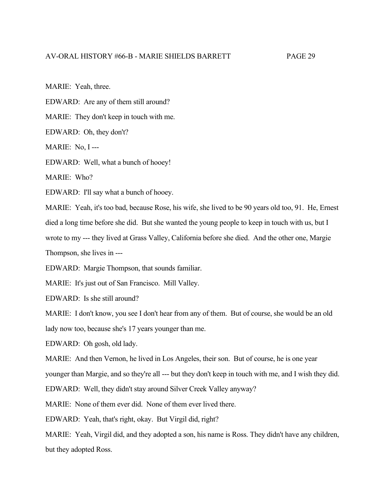MARIE: Yeah, three.

EDWARD: Are any of them still around?

MARIE: They don't keep in touch with me.

EDWARD: Oh, they don't?

MARIE: No, I ---

EDWARD: Well, what a bunch of hooey!

MARIE: Who?

EDWARD: I'll say what a bunch of hooey.

MARIE: Yeah, it's too bad, because Rose, his wife, she lived to be 90 years old too, 91. He, Ernest died a long time before she did. But she wanted the young people to keep in touch with us, but I wrote to my --- they lived at Grass Valley, California before she died. And the other one, Margie Thompson, she lives in ---

EDWARD: Margie Thompson, that sounds familiar.

MARIE: It's just out of San Francisco. Mill Valley.

EDWARD: Is she still around?

MARIE: I don't know, you see I don't hear from any of them. But of course, she would be an old lady now too, because she's 17 years younger than me.

EDWARD: Oh gosh, old lady.

MARIE: And then Vernon, he lived in Los Angeles, their son. But of course, he is one year

younger than Margie, and so they're all --- but they don't keep in touch with me, and I wish they did.

EDWARD: Well, they didn't stay around Silver Creek Valley anyway?

MARIE: None of them ever did. None of them ever lived there.

EDWARD: Yeah, that's right, okay. But Virgil did, right?

MARIE: Yeah, Virgil did, and they adopted a son, his name is Ross. They didn't have any children, but they adopted Ross.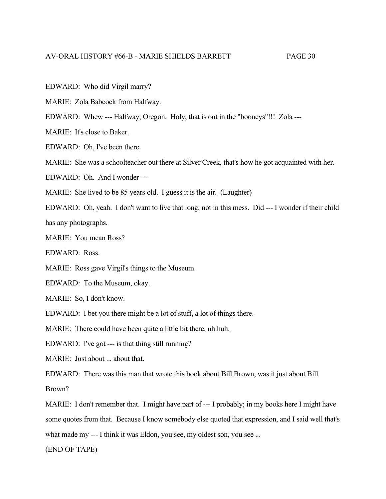EDWARD: Who did Virgil marry?

MARIE: Zola Babcock from Halfway.

EDWARD: Whew --- Halfway, Oregon. Holy, that is out in the "booneys"!!! Zola ---

MARIE: It's close to Baker.

EDWARD: Oh, I've been there.

MARIE: She was a schoolteacher out there at Silver Creek, that's how he got acquainted with her.

EDWARD: Oh. And I wonder ---

MARIE: She lived to be 85 years old. I guess it is the air. (Laughter)

EDWARD: Oh, yeah. I don't want to live that long, not in this mess. Did --- I wonder if their child has any photographs.

MARIE: You mean Ross?

EDWARD: Ross.

MARIE: Ross gave Virgil's things to the Museum.

EDWARD: To the Museum, okay.

MARIE: So, I don't know.

EDWARD: I bet you there might be a lot of stuff, a lot of things there.

MARIE: There could have been quite a little bit there, uh huh.

EDWARD: I've got --- is that thing still running?

MARIE: Just about ... about that.

EDWARD: There was this man that wrote this book about Bill Brown, was it just about Bill

Brown?

MARIE: I don't remember that. I might have part of --- I probably; in my books here I might have some quotes from that. Because I know somebody else quoted that expression, and I said well that's what made my --- I think it was Eldon, you see, my oldest son, you see ...

(END OF TAPE)